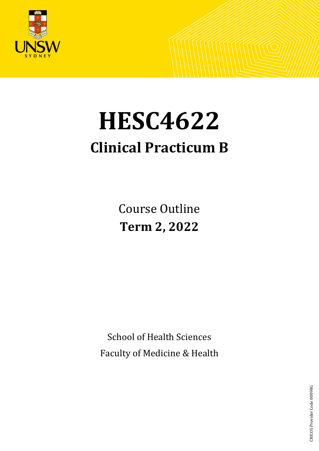

# **HESC4622**

# **Clinical Practicum B**

Course Outline **Term 2, 2022**

School of Health Sciences Faculty of Medicine & Health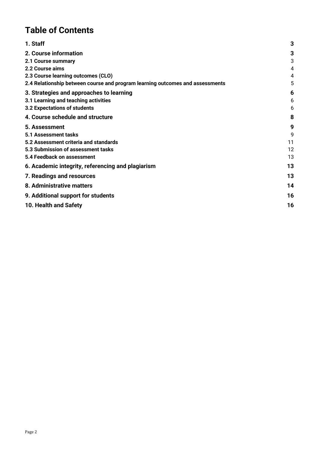# **Table of Contents**

| 1. Staff                                                                      | 3  |
|-------------------------------------------------------------------------------|----|
| 2. Course information                                                         | 3  |
| 2.1 Course summary                                                            | 3  |
| 2.2 Course aims                                                               | 4  |
| 2.3 Course learning outcomes (CLO)                                            | 4  |
| 2.4 Relationship between course and program learning outcomes and assessments | 5  |
| 3. Strategies and approaches to learning                                      | 6  |
| 3.1 Learning and teaching activities                                          | 6  |
| 3.2 Expectations of students                                                  | 6  |
| 4. Course schedule and structure                                              | 8  |
| 5. Assessment                                                                 | 9  |
| 5.1 Assessment tasks                                                          | 9  |
| 5.2 Assessment criteria and standards                                         | 11 |
| 5.3 Submission of assessment tasks                                            | 12 |
| 5.4 Feedback on assessment                                                    | 13 |
| 6. Academic integrity, referencing and plagiarism                             | 13 |
| 7. Readings and resources                                                     | 13 |
| 8. Administrative matters                                                     | 14 |
| 9. Additional support for students                                            | 16 |
| 10. Health and Safety                                                         | 16 |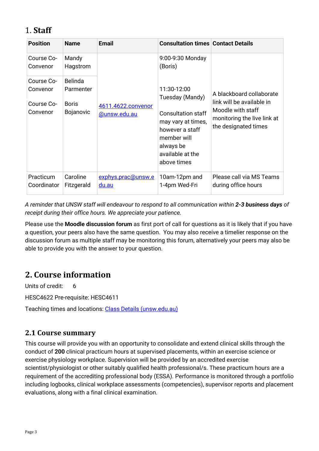# <span id="page-2-0"></span>1. **Staff**

| <b>Position</b>          | <b>Name</b>                      | <b>Email</b>                              | <b>Consultation times Contact Details</b>                                                                                         |                                                                                                       |
|--------------------------|----------------------------------|-------------------------------------------|-----------------------------------------------------------------------------------------------------------------------------------|-------------------------------------------------------------------------------------------------------|
| Course Co-<br>Convenor   | Mandy<br>Hagstrom                | 4611.4622.convenor<br><u>@unsw.edu.au</u> | 9:00-9:30 Monday<br>(Boris)                                                                                                       |                                                                                                       |
| Course Co-<br>Convenor   | <b>Belinda</b><br>Parmenter      |                                           | 11:30-12:00<br>Tuesday (Mandy)                                                                                                    | A blackboard collaborate                                                                              |
| Course Co-<br>Convenor   | <b>Boris</b><br><b>Bojanovic</b> |                                           | <b>Consultation staff</b><br>may vary at times,<br>however a staff<br>member will<br>always be<br>available at the<br>above times | link will be available in<br>Moodle with staff<br>monitoring the live link at<br>the designated times |
| Practicum<br>Coordinator | Caroline<br>Fitzgerald           | exphys.prac@unsw.e<br>du.au               | 10am-12pm and<br>1-4pm Wed-Fri                                                                                                    | Please call via MS Teams<br>during office hours                                                       |

*A reminder that UNSW staff will endeavour to respond to all communication within 2-3 business days of receipt during their office hours. We appreciate your patience.*

Please use the **Moodle discussion forum** as first port of call for questions as it is likely that if you have a question, your peers also have the same question. You may also receive a timelier response on the discussion forum as multiple staff may be monitoring this forum, alternatively your peers may also be able to provide you with the answer to your question.

# <span id="page-2-1"></span>**2. Course information**

Units of credit: 6

HESC4622 Pre-requisite: HESC4611

Teaching times and locations: Class Details [\(unsw.edu.au\)](http://timetable.unsw.edu.au/2022/HESC4611.html)

# <span id="page-2-2"></span>**2.1 Course summary**

This course will provide you with an opportunity to consolidate and extend clinical skills through the conduct of **200** clinical practicum hours at supervised placements, within an exercise science or exercise physiology workplace. Supervision will be provided by an accredited exercise scientist/physiologist or other suitably qualified health professional/s. These practicum hours are a requirement of the accrediting professional body (ESSA). Performance is monitored through a portfolio including logbooks, clinical workplace assessments (competencies), supervisor reports and placement evaluations, along with a final clinical examination.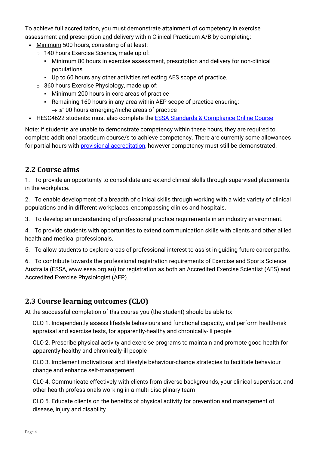To achieve full accreditation, you must demonstrate attainment of competency in exercise assessment and prescription and delivery within Clinical Practicum A/B by completing:

- Minimum 500 hours, consisting of at least:
	- o 140 hours Exercise Science, made up of:
		- Minimum 80 hours in exercise assessment, prescription and delivery for non-clinical populations
		- Up to 60 hours any other activities reflecting AES scope of practice.
	- $\circ$  360 hours Exercise Physiology, made up of:
		- **Minimum 200 hours in core areas of practice**
		- Remaining 160 hours in any area within AEP scope of practice ensuring:
			- $\rightarrow$  ≤100 hours emerging/niche areas of practice
- HESC4622 students: must also complete the **ESSA Standards & Compliance Online Course**

Note: If students are unable to demonstrate competency within these hours, they are required to complete additional practicum course/s to achieve competency. There are currently some allowances for partial hours with [provisional accreditation,](https://www.essa.org.au/Public/APPLY_NOW/Accreditation/Provisional_Accreditation.aspx) however competency must still be demonstrated.

# <span id="page-3-0"></span>**2.2 Course aims**

1. To provide an opportunity to consolidate and extend clinical skills through supervised placements in the workplace.

2. To enable development of a breadth of clinical skills through working with a wide variety of clinical populations and in different workplaces, encompassing clinics and hospitals.

3. To develop an understanding of professional practice requirements in an industry environment.

4. To provide students with opportunities to extend communication skills with clients and other allied health and medical professionals.

5. To allow students to explore areas of professional interest to assist in guiding future career paths.

6. To contribute towards the professional registration requirements of Exercise and Sports Science Australia (ESSA, www.essa.org.au) for registration as both an Accredited Exercise Scientist (AES) and Accredited Exercise Physiologist (AEP).

# <span id="page-3-1"></span>**2.3 Course learning outcomes (CLO)**

At the successful completion of this course you (the student) should be able to:

CLO 1. Independently assess lifestyle behaviours and functional capacity, and perform health-risk appraisal and exercise tests, for apparently-healthy and chronically-ill people

CLO 2. Prescribe physical activity and exercise programs to maintain and promote good health for apparently-healthy and chronically-ill people

CLO 3. Implement motivational and lifestyle behaviour-change strategies to facilitate behaviour change and enhance self-management

CLO 4. Communicate effectively with clients from diverse backgrounds, your clinical supervisor, and other health professionals working in a multi-disciplinary team

CLO 5. Educate clients on the benefits of physical activity for prevention and management of disease, injury and disability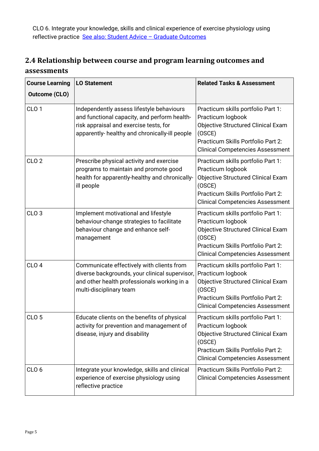CLO 6. Integrate your knowledge, skills and clinical experience of exercise physiology using reflective practice [See also: Student Advice –](https://teaching.unsw.edu.au/graduate-capabilities) Graduate Outcomes

# <span id="page-4-0"></span>**2.4 Relationship between course and program learning outcomes and assessments**

| <b>Course Learning</b><br><b>Outcome (CLO)</b> | <b>LO Statement</b>                                                                                                                                                                   | <b>Related Tasks &amp; Assessment</b>                                                                                                                                                           |
|------------------------------------------------|---------------------------------------------------------------------------------------------------------------------------------------------------------------------------------------|-------------------------------------------------------------------------------------------------------------------------------------------------------------------------------------------------|
| CLO <sub>1</sub>                               | Independently assess lifestyle behaviours<br>and functional capacity, and perform health-<br>risk appraisal and exercise tests, for<br>apparently- healthy and chronically-ill people | Practicum skills portfolio Part 1:<br>Practicum logbook<br><b>Objective Structured Clinical Exam</b><br>(OSCE)<br>Practicum Skills Portfolio Part 2:<br><b>Clinical Competencies Assessment</b> |
| CLO <sub>2</sub>                               | Prescribe physical activity and exercise<br>programs to maintain and promote good<br>health for apparently-healthy and chronically-<br>ill people                                     | Practicum skills portfolio Part 1:<br>Practicum logbook<br>Objective Structured Clinical Exam<br>(OSCE)<br>Practicum Skills Portfolio Part 2:<br><b>Clinical Competencies Assessment</b>        |
| CLO <sub>3</sub>                               | Implement motivational and lifestyle<br>behaviour-change strategies to facilitate<br>behaviour change and enhance self-<br>management                                                 | Practicum skills portfolio Part 1:<br>Practicum logbook<br>Objective Structured Clinical Exam<br>(OSCE)<br>Practicum Skills Portfolio Part 2:<br><b>Clinical Competencies Assessment</b>        |
| CLO <sub>4</sub>                               | Communicate effectively with clients from<br>diverse backgrounds, your clinical supervisor,<br>and other health professionals working in a<br>multi-disciplinary team                 | Practicum skills portfolio Part 1:<br>Practicum logbook<br>Objective Structured Clinical Exam<br>(OSCE)<br>Practicum Skills Portfolio Part 2:<br><b>Clinical Competencies Assessment</b>        |
| CLO <sub>5</sub>                               | Educate clients on the benefits of physical<br>activity for prevention and management of<br>disease, injury and disability                                                            | Practicum skills portfolio Part 1:<br>Practicum logbook<br><b>Objective Structured Clinical Exam</b><br>(OSCE)<br>Practicum Skills Portfolio Part 2:<br><b>Clinical Competencies Assessment</b> |
| CLO <sub>6</sub>                               | Integrate your knowledge, skills and clinical<br>experience of exercise physiology using<br>reflective practice                                                                       | Practicum Skills Portfolio Part 2:<br><b>Clinical Competencies Assessment</b>                                                                                                                   |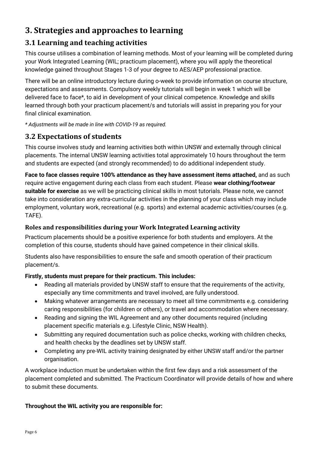# <span id="page-5-0"></span>**3. Strategies and approaches to learning**

# <span id="page-5-1"></span>**3.1 Learning and teaching activities**

This course utilises a combination of learning methods. Most of your learning will be completed during your Work Integrated Learning (WIL; practicum placement), where you will apply the theoretical knowledge gained throughout Stages 1-3 of your degree to AES/AEP professional practice.

There will be an online introductory lecture during o-week to provide information on course structure, expectations and assessments. Compulsory weekly tutorials will begin in week 1 which will be delivered face to face\*, to aid in development of your clinical competence. Knowledge and skills learned through both your practicum placement/s and tutorials will assist in preparing you for your final clinical examination.

*\* Adjustments will be made in line with COVID-19 as required.*

# <span id="page-5-2"></span>**3.2 Expectations of students**

This course involves study and learning activities both within UNSW and externally through clinical placements. The internal UNSW learning activities total approximately 10 hours throughout the term and students are expected (and strongly recommended) to do additional independent study.

**Face to face classes require 100% attendance as they have assessment items attached,** and as such require active engagement during each class from each student. Please **wear clothing/footwear suitable for exercise** as we will be practicing clinical skills in most tutorials. Please note, we cannot take into consideration any extra-curricular activities in the planning of your class which may include employment, voluntary work, recreational (e.g. sports) and external academic activities/courses (e.g. TAFE).

#### **Roles and responsibilities during your Work Integrated Learning activity**

Practicum placements should be a positive experience for both students and employers. At the completion of this course, students should have gained competence in their clinical skills.

Students also have responsibilities to ensure the safe and smooth operation of their practicum placement/s.

#### **Firstly, students must prepare for their practicum. This includes:**

- Reading all materials provided by UNSW staff to ensure that the requirements of the activity, especially any time commitments and travel involved, are fully understood.
- Making whatever arrangements are necessary to meet all time commitments e.g. considering caring responsibilities (for children or others), or travel and accommodation where necessary.
- Reading and signing the WIL Agreement and any other documents required (including placement specific materials e.g. Lifestyle Clinic, NSW Health).
- Submitting any required documentation such as police checks, working with children checks, and health checks by the deadlines set by UNSW staff.
- Completing any pre-WIL activity training designated by either UNSW staff and/or the partner organisation.

A workplace induction must be undertaken within the first few days and a risk assessment of the placement completed and submitted. The Practicum Coordinator will provide details of how and where to submit these documents.

#### **Throughout the WIL activity you are responsible for:**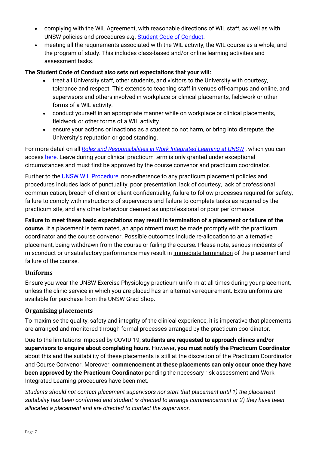- complying with the WIL Agreement, with reasonable directions of WIL staff, as well as with UNSW policies and procedures e.g. [Student Code of Conduct.](https://student.unsw.edu.au/conduct)
- meeting all the requirements associated with the WIL activity, the WIL course as a whole, and the program of study. This includes class-based and/or online learning activities and assessment tasks.

#### **The Student Code of Conduct also sets out expectations that your will:**

- treat all University staff, other students, and visitors to the University with courtesy, tolerance and respect. This extends to teaching staff in venues off-campus and online, and supervisors and others involved in workplace or clinical placements, fieldwork or other forms of a WIL activity.
- conduct yourself in an appropriate manner while on workplace or clinical placements, fieldwork or other forms of a WIL activity.
- ensure your actions or inactions as a student do not harm, or bring into disrepute, the University's reputation or good standing.

For more detail on all *[Roles and Responsibilities in Work Integrated Learning at UNSW](https://www.wil.unsw.edu.au/sites/default/files/documents/Roles-and-Responsibilities-for-Work-Integrated-Learning-%28WIL%29-at-UNSW.pdf)* , which you can access [here.](https://www.wil.unsw.edu.au/sites/default/files/documents/Roles-and-Responsibilities-for-Work-Integrated-Learning-%28WIL%29-at-UNSW.pdf) Leave during your clinical practicum term is only granted under exceptional circumstances and must first be approved by the course convenor and practicum coordinator.

Further to the [UNSW WIL Procedure,](https://www.wil.unsw.edu.au/students) non-adherence to any practicum placement policies and procedures includes lack of punctuality, poor presentation, lack of courtesy, lack of professional communication, breach of client or client confidentiality, failure to follow processes required for safety, failure to comply with instructions of supervisors and failure to complete tasks as required by the practicum site, and any other behaviour deemed as unprofessional or poor performance.

**Failure to meet these basic expectations may result in termination of a placement or failure of the course.** If a placement is terminated, an appointment must be made promptly with the practicum coordinator and the course convenor. Possible outcomes include re-allocation to an alternative placement, being withdrawn from the course or failing the course. Please note, serious incidents of misconduct or unsatisfactory performance may result in immediate termination of the placement and failure of the course.

#### **Uniforms**

Ensure you wear the UNSW Exercise Physiology practicum uniform at all times during your placement, unless the clinic service in which you are placed has an alternative requirement. Extra uniforms are available for purchase from the UNSW Grad Shop.

#### **Organising placements**

To maximise the quality, safety and integrity of the clinical experience, it is imperative that placements are arranged and monitored through formal processes arranged by the practicum coordinator.

Due to the limitations imposed by COVID-19, **students are requested to approach clinics and/or supervisors to enquire about completing hours**. However, **you must notify the Practicum Coordinator** about this and the suitability of these placements is still at the discretion of the Practicum Coordinator and Course Convenor. Moreover, **commencement at these placements can only occur once they have been approved by the Practicum Coordinator** pending the necessary risk assessment and Work Integrated Learning procedures have been met.

*Students should not contact placement supervisors nor start that placement until 1) the placement suitability has been confirmed and student is directed to arrange commencement or 2) they have been allocated a placement and are directed to contact the supervisor*.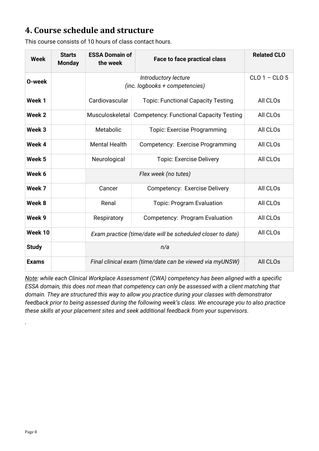# <span id="page-7-0"></span>**4. Course schedule and structure**

| <b>Week</b>       | <b>Starts</b><br><b>Monday</b> | <b>ESSA Domain of</b><br>the week                          | <b>Face to face practical class</b>            | <b>Related CLO</b> |
|-------------------|--------------------------------|------------------------------------------------------------|------------------------------------------------|--------------------|
| O-week            |                                | (inc. logbooks + competencies)                             | $CLO1 - CLO5$                                  |                    |
| Week 1            |                                | Cardiovascular                                             | <b>Topic: Functional Capacity Testing</b>      | All CLOs           |
| Week 2            |                                | Musculoskeletal                                            | <b>Competency: Functional Capacity Testing</b> | All CLOs           |
| Week 3            |                                | Metabolic                                                  | <b>Topic: Exercise Programming</b>             | All CLOs           |
| Week 4            |                                | <b>Mental Health</b>                                       | Competency: Exercise Programming               | All CLOs           |
| Week <sub>5</sub> |                                | Neurological                                               | <b>Topic: Exercise Delivery</b>                | All CLOs           |
| Week 6            |                                |                                                            |                                                |                    |
| Week 7            |                                | Cancer                                                     | Competency: Exercise Delivery                  | All CLOs           |
| Week 8            |                                | Renal                                                      | <b>Topic: Program Evaluation</b>               | All CLOs           |
| Week 9            |                                | Respiratory                                                | Competency: Program Evaluation                 | All CLOs           |
| Week 10           |                                | Exam practice (time/date will be scheduled closer to date) | All CLOs                                       |                    |
| <b>Study</b>      |                                |                                                            |                                                |                    |
| <b>Exams</b>      |                                | Final clinical exam (time/date can be viewed via myUNSW)   | All CLOs                                       |                    |

This course consists of 10 hours of class contact hours.

*Note: while each Clinical Workplace Assessment (CWA) competency has been aligned with a specific ESSA domain, this does not mean that competency can only be assessed with a client matching that domain. They are structured this way to allow you practice during your classes with demonstrator feedback prior to being assessed during the following week's class. We encourage you to also practice these skills at your placement sites and seek additional feedback from your supervisors.* 

*.*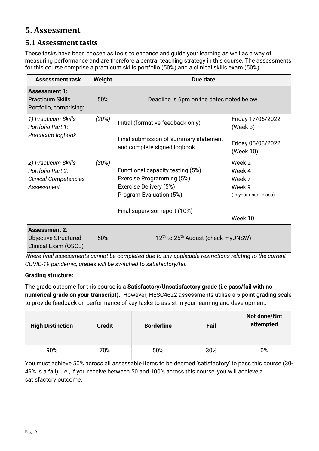# <span id="page-8-0"></span>**5. Assessment**

# <span id="page-8-1"></span>**5.1 Assessment tasks**

These tasks have been chosen as tools to enhance and guide your learning as well as a way of measuring performance and are therefore a central teaching strategy in this course. The assessments for this course comprise a practicum skills portfolio (50%) and a clinical skills exam (50%).

| <b>Assessment task</b>                                                                 | Weight | Due date                                                                                                                                            |                                                                          |  |
|----------------------------------------------------------------------------------------|--------|-----------------------------------------------------------------------------------------------------------------------------------------------------|--------------------------------------------------------------------------|--|
| <b>Assessment 1:</b><br><b>Practicum Skills</b><br>Portfolio, comprising:              | 50%    | Deadline is 6pm on the dates noted below.                                                                                                           |                                                                          |  |
| 1) Practicum Skills<br>Portfolio Part 1:<br>Practicum logbook                          | (20%)  | Initial (formative feedback only)<br>Final submission of summary statement<br>and complete signed logbook.                                          | Friday 17/06/2022<br>(Week 3)<br>Friday 05/08/2022<br>(Week 10)          |  |
| 2) Practicum Skills<br>Portfolio Part 2:<br><b>Clinical Competencies</b><br>Assessment | (30%)  | Functional capacity testing (5%)<br>Exercise Programming (5%)<br>Exercise Delivery (5%)<br>Program Evaluation (5%)<br>Final supervisor report (10%) | Week 2<br>Week 4<br>Week 7<br>Week 9<br>(In your usual class)<br>Week 10 |  |
| <b>Assessment 2:</b><br><b>Objective Structured</b><br>Clinical Exam (OSCE)            | 50%    | 12 <sup>th</sup> to 25 <sup>th</sup> August (check myUNSW)                                                                                          |                                                                          |  |

*Where final assessments cannot be completed due to any applicable restrictions relating to the current COVID-19 pandemic, grades will be switched to satisfactory/fail.*

#### **Grading structure:**

The grade outcome for this course is a **Satisfactory/Unsatisfactory grade (i.e pass/fail with no numerical grade on your transcript).** However, HESC4622 assessments utilise a 5-point grading scale to provide feedback on performance of key tasks to assist in your learning and development.

| <b>High Distinction</b> | <b>Credit</b> | <b>Borderline</b> | Fail | Not done/Not<br>attempted |
|-------------------------|---------------|-------------------|------|---------------------------|
| 90%                     | 70%           | 50%               | 30%  | 0%                        |

You must achieve 50% across all assessable items to be deemed 'satisfactory' to pass this course (30- 49% is a fail). i.e., if you receive between 50 and 100% across this course, you will achieve a satisfactory outcome.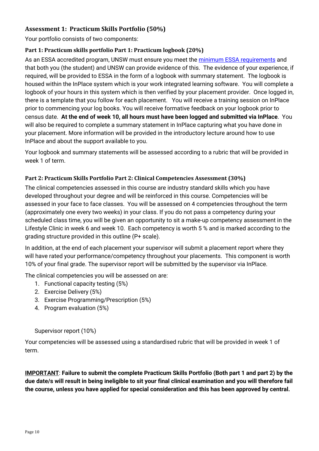#### **Assessment 1: Practicum Skills Portfolio (50%)**

Your portfolio consists of two components:

#### **Part 1: Practicum skills portfolio Part 1: Practicum logbook (20%)**

As an ESSA accredited program, UNSW must ensure you meet the [minimum ESSA requirements](https://www.essa.org.au/Public/EDUCATION_PROVIDERS/Practicum.aspx) and that both you (the student) and UNSW can provide evidence of this. The evidence of your experience, if required, will be provided to ESSA in the form of a logbook with summary statement. The logbook is housed within the InPlace system which is your work integrated learning software. You will complete a logbook of your hours in this system which is then verified by your placement provider. Once logged in, there is a template that you follow for each placement. You will receive a training session on InPlace prior to commencing your log books. You will receive formative feedback on your logbook prior to census date. **At the end of week 10, all hours must have been logged and submitted via InPlace**. You will also be required to complete a summary statement in InPlace capturing what you have done in your placement. More information will be provided in the introductory lecture around how to use InPlace and about the support available to you.

Your logbook and summary statements will be assessed according to a rubric that will be provided in week 1 of term.

#### **Part 2: Practicum Skills Portfolio Part 2: Clinical Competencies Assessment (30%)**

The clinical competencies assessed in this course are industry standard skills which you have developed throughout your degree and will be reinforced in this course. Competencies will be assessed in your face to face classes. You will be assessed on 4 competencies throughout the term (approximately one every two weeks) in your class. If you do not pass a competency during your scheduled class time, you will be given an opportunity to sit a make-up competency assessment in the Lifestyle Clinic in week 6 and week 10. Each competency is worth 5 % and is marked according to the grading structure provided in this outline (P+ scale).

In addition, at the end of each placement your supervisor will submit a placement report where they will have rated your performance/competency throughout your placements. This component is worth 10% of your final grade. The supervisor report will be submitted by the supervisor via InPlace.

The clinical competencies you will be assessed on are:

- 1. Functional capacity testing (5%)
- 2. Exercise Delivery (5%)
- 3. Exercise Programming/Prescription (5%)
- 4. Program evaluation (5%)

#### Supervisor report (10%)

Your competencies will be assessed using a standardised rubric that will be provided in week 1 of term.

**IMPORTANT**: **Failure to submit the complete Practicum Skills Portfolio (Both part 1 and part 2) by the due date/s will result in being ineligible to sit your final clinical examination and you will therefore fail the course, unless you have applied for special consideration and this has been approved by central.**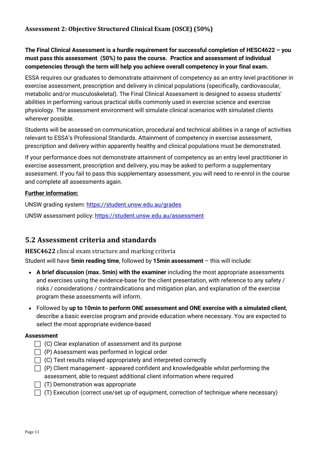#### **Assessment 2: Objective Structured Clinical Exam (OSCE) (50%)**

#### **The Final Clinical Assessment is a hurdle requirement for successful completion of HESC4622 – you must pass this assessment (50%) to pass the course. Practice and assessment of individual competencies through the term will help you achieve overall competency in your final exam.**

ESSA requires our graduates to demonstrate attainment of competency as an entry level practitioner in exercise assessment, prescription and delivery in clinical populations (specifically, cardiovascular, metabolic and/or musculoskeletal). The Final Clinical Assessment is designed to assess students' abilities in performing various practical skills commonly used in exercise science and exercise physiology. The assessment environment will simulate clinical scenarios with simulated clients wherever possible.

Students will be assessed on communication, procedural and technical abilities in a range of activities relevant to ESSA's Professional Standards. Attainment of competency in exercise assessment, prescription and delivery within apparently healthy and clinical populations must be demonstrated.

If your performance does not demonstrate attainment of competency as an entry level practitioner in exercise assessment, prescription and delivery, you may be asked to perform a supplementary assessment. If you fail to pass this supplementary assessment, you will need to re-enrol in the course and complete all assessments again.

#### **Further information:**

UNSW grading system:<https://student.unsw.edu.au/grades>

UNSW assessment policy:<https://student.unsw.edu.au/assessment>

#### <span id="page-10-0"></span>**5.2 Assessment criteria and standards**

**HESC4622** clincal exam structure and marking criteria

Student will have **5min reading time**, followed by **15min assessment** – this will include:

- **A brief discussion (max. 5min) with the examiner** including the most appropriate assessments and exercises using the evidence-base for the client presentation, with reference to any safety / risks / considerations / contraindications and mitigation plan, and explanation of the exercise program these assessments will inform.
- Followed by **up to 10min to perform ONE assessment and ONE exercise with a simulated client**, describe a basic exercise program and provide education where necessary. You are expected to select the most appropriate evidence-based

#### **Assessment**

- $\Box$  (C) Clear explanation of assessment and its purpose
- $\Box$  (P) Assessment was performed in logical order
- $\Box$  (C) Test results relayed appropriately and interpreted correctly
- $\Box$  (P) Client management appeared confident and knowledgeable whilst performing the assessment, able to request additional client information where required
- $\Box$  (T) Demonstration was appropriate
- $\Box$  (T) Execution (correct use/set up of equipment, correction of technique where necessary)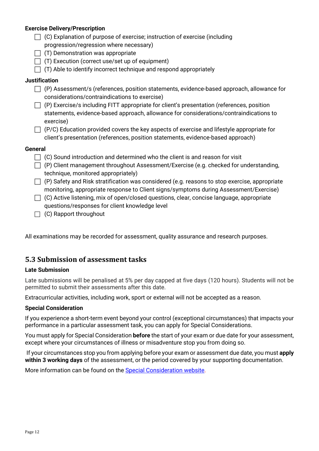#### **Exercise Delivery/Prescription**

- $\Box$  (C) Explanation of purpose of exercise; instruction of exercise (including
	- progression/regression where necessary)
- $\Box$  (T) Demonstration was appropriate
- $\Box$  (T) Execution (correct use/set up of equipment)
- $\Box$  (T) Able to identify incorrect technique and respond appropriately

#### **Justification**

- $\Box$  (P) Assessment/s (references, position statements, evidence-based approach, allowance for considerations/contraindications to exercise)
- $\Box$  (P) Exercise/s including FITT appropriate for client's presentation (references, position statements, evidence-based approach, allowance for considerations/contraindications to exercise)
- $\Box$  (P/C) Education provided covers the key aspects of exercise and lifestyle appropriate for client's presentation (references, position statements, evidence-based approach)

#### **General**

- $\Box$  (C) Sound introduction and determined who the client is and reason for visit
- $\Box$  (P) Client management throughout Assessment/Exercise (e.g. checked for understanding, technique, monitored appropriately)
- $\Box$  (P) Safety and Risk stratification was considered (e.g. reasons to stop exercise, appropriate monitoring, appropriate response to Client signs/symptoms during Assessment/Exercise)
- $\Box$  (C) Active listening, mix of open/closed questions, clear, concise language, appropriate questions/responses for client knowledge level
- $\Box$  (C) Rapport throughout

All examinations may be recorded for assessment, quality assurance and research purposes.

#### <span id="page-11-0"></span>**5.3 Submission of assessment tasks**

#### **Late Submission**

Late submissions will be penalised at 5% per day capped at five days (120 hours). Students will not be permitted to submit their assessments after this date.

Extracurricular activities, including work, sport or external will not be accepted as a reason.

#### **Special Consideration**

If you experience a short-term event beyond your control (exceptional circumstances) that impacts your performance in a particular assessment task, you can apply for Special Considerations.

You must apply for Special Consideration **before** the start of your exam or due date for your assessment, except where your circumstances of illness or misadventure stop you from doing so.

If your circumstances stop you from applying before your exam or assessment due date, you must **apply within 3 working days** of the assessment, or the period covered by your supporting documentation.

More information can be found on the [Special Consideration website.](https://www.student.unsw.edu.au/special-consideration)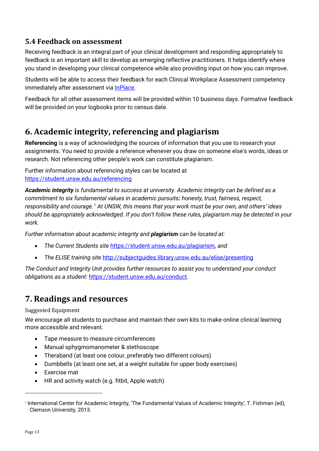# <span id="page-12-0"></span>**5.4 Feedback on assessment**

Receiving feedback is an integral part of your clinical development and responding appropriately to feedback is an important skill to develop as emerging reflective practitioners. It helps identify where you stand in developing your clinical competence while also providing input on how you can improve.

Students will be able to access their feedback for each Clinical Workplace Assessment competency immediately after assessment via [InPlace.](https://unsw-signon-au.inplacesoftware.com/)

Feedback for all other assessment items will be provided within 10 business days. Formative feedback will be provided on your logbooks prior to census date.

# <span id="page-12-1"></span>**6. Academic integrity, referencing and plagiarism**

**Referencing** is a way of acknowledging the sources of information that you use to research your assignments. You need to provide a reference whenever you draw on someone else's words, ideas or research. Not referencing other people's work can constitute plagiarism.

Further information about referencing styles can be located at <https://student.unsw.edu.au/referencing>

*Academic integrity is fundamental to success at university. Academic integrity can be defined as a commitment to six fundamental values in academic pursuits: honesty, trust, fairness, respect, responsibility and courage.*[1](#page-12-3) *At UNSW, this means that your work must be your own, and others' ideas should be appropriately acknowledged. If you don't follow these rules, plagiarism may be detected in your work.* 

*Further information about academic integrity and plagiarism can be located at:*

- *The Current Students site* <https://student.unsw.edu.au/plagiarism>*, and*
- *The ELISE training site* <http://subjectguides.library.unsw.edu.au/elise/presenting>

*The Conduct and Integrity Unit provides further resources to assist you to understand your conduct obligations as a student:* <https://student.unsw.edu.au/conduct>*.*

# <span id="page-12-2"></span>**7. Readings and resources**

Suggested Equipment

We encourage all students to purchase and maintain their own kits to make online clinical learning more accessible and relevant.

- Tape measure to measure circumferences
- Manual sphygmomanometer & stethoscope
- Theraband (at least one colour, preferably two different colours)
- Dumbbells (at least one set, at a weight suitable for upper body exercises)
- Exercise mat
- HR and activity watch (e.g. fitbit, Apple watch)

<span id="page-12-3"></span><sup>1</sup> International Center for Academic Integrity, 'The Fundamental Values of Academic Integrity', T. Fishman (ed), Clemson University, 2013.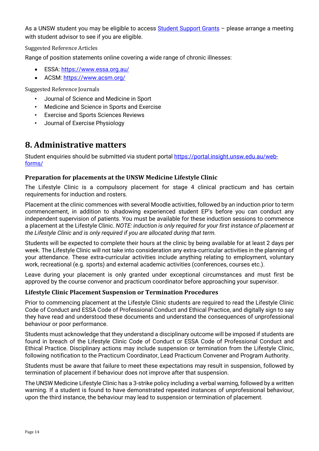As a UNSW student you may be eligible to access [Student Support Grants](https://student.unsw.edu.au/student-support-grants) – please arrange a meeting with student advisor to see if you are eligible.

Suggested Reference Articles

Range of position statements online covering a wide range of chronic illnesses:

- ESSA:<https://www.essa.org.au/>
- ACSM:<https://www.acsm.org/>

Suggested Reference Journals

- Journal of Science and Medicine in Sport
- Medicine and Science in Sports and Exercise
- Exercise and Sports Sciences Reviews
- Journal of Exercise Physiology

# <span id="page-13-0"></span>**8. Administrative matters**

Student enquiries should be submitted via student portal [https://portal.insight.unsw.edu.au/web](https://portal.insight.unsw.edu.au/web-forms/)[forms/](https://portal.insight.unsw.edu.au/web-forms/)

#### **Preparation for placements at the UNSW Medicine Lifestyle Clinic**

The Lifestyle Clinic is a compulsory placement for stage 4 clinical practicum and has certain requirements for induction and rosters.

Placement at the clinic commences with several Moodle activities, followed by an induction prior to term commencement, in addition to shadowing experienced student EP's before you can conduct any independent supervision of patients. You must be available for these induction sessions to commence a placement at the Lifestyle Clinic. *NOTE: induction is only required for your first instance of placement at the Lifestyle Clinic and is only required if you are allocated during that term.*

Students will be expected to complete their hours at the clinic by being available for at least 2 days per week. The Lifestyle Clinic will not take into consideration any extra-curricular activities in the planning of your attendance. These extra-curricular activities include anything relating to employment, voluntary work, recreational (e.g. sports) and external academic activities (conferences, courses etc.).

Leave during your placement is only granted under exceptional circumstances and must first be approved by the course convenor and practicum coordinator before approaching your supervisor.

#### **Lifestyle Clinic Placement Suspension or Termination Procedures**

Prior to commencing placement at the Lifestyle Clinic students are required to read the Lifestyle Clinic Code of Conduct and ESSA Code of Professional Conduct and Ethical Practice, and digitally sign to say they have read and understood these documents and understand the consequences of unprofessional behaviour or poor performance.

Students must acknowledge that they understand a disciplinary outcome will be imposed if students are found in breach of the Lifestyle Clinic Code of Conduct or ESSA Code of Professional Conduct and Ethical Practice. Disciplinary actions may include suspension or termination from the Lifestyle Clinic, following notification to the Practicum Coordinator, Lead Practicum Convener and Program Authority.

Students must be aware that failure to meet these expectations may result in suspension, followed by termination of placement if behaviour does not improve after that suspension.

The UNSW Medicine Lifestyle Clinic has a 3-strike policy including a verbal warning, followed by a written warning. If a student is found to have demonstrated repeated instances of unprofessional behaviour, upon the third instance, the behaviour may lead to suspension or termination of placement.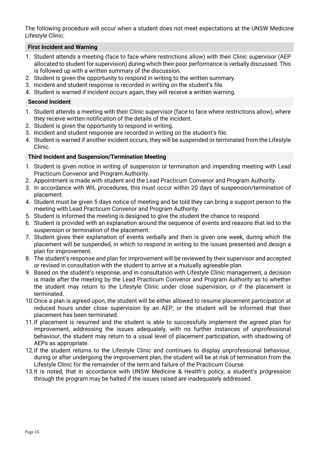The following procedure will occur when a student does not meet expectations at the UNSW Medicine Lifestyle Clinic:

#### **First Incident and Warning**

- 1. Student attends a meeting (face to face where restrictions allow) with their Clinic supervisor (AEP allocated to student for supervision) during which their poor performance is verbally discussed. This is followed up with a written summary of the discussion.
- 2. Student is given the opportunity to respond in writing to the written summary.
- 3. Incident and student response is recorded in writing on the student's file.
- 4. Student is warned if incident occurs again, they will receive a written warning.

#### **Second Incident**

- 1. Student attends a meeting with their Clinic supervisor (face to face where restrictions allow), where they receive written notification of the details of the incident.
- 2. Student is given the opportunity to respond in writing.
- 3. Incident and student response are recorded in writing on the student's file.
- 4. Student is warned if another incident occurs, they will be suspended or terminated from the Lifestyle Clinic.

#### **Third Incident and Suspension/Termination Meeting**

- 1. Student is given notice in writing of suspension or termination and impending meeting with Lead Practicum Convenor and Program Authority.
- 2. Appointment is made with student and the Lead Practicum Convenor and Program Authority.
- 3. In accordance with WIL procedures, this must occur within 20 days of suspension/termination of placement.
- 4. Student must be given 5 days notice of meeting and be told they can bring a support person to the meeting with Lead Practicum Convenor and Program Authority.
- 5. Student is informed the meeting is designed to give the student the chance to respond.
- 6. Student is provided with an explanation around the sequence of events and reasons that led to the suspension or termination of the placement.
- 7. Student gives their explanation of events verbally and then is given one week, during which the placement will be suspended, in which to respond in writing to the issues presented and design a plan for improvement.
- 8. The student's response and plan for improvement will be reviewed by their supervisor and accepted or revised in consultation with the student to arrive at a mutually agreeable plan.
- 9. Based on the student's response, and in consultation with Lifestyle Clinic management, a decision is made after the meeting by the Lead Practicum Convenor and Program Authority as to whether the student may return to the Lifestyle Clinic under close supervision, or if the placement is terminated.
- 10.Once a plan is agreed upon, the student will be either allowed to resume placement participation at reduced hours under close supervision by an AEP, or the student will be informed that their placement has been terminated.
- 11.If placement is resumed and the student is able to successfully implement the agreed plan for improvement, addressing the issues adequately, with no further instances of unprofessional behaviour, the student may return to a usual level of placement participation, with shadowing of AEPs as appropriate.
- 12.If the student returns to the Lifestyle Clinic and continues to display unprofessional behaviour, during or after undergoing the improvement plan, the student will be at risk of termination from the Lifestyle Clinic for the remainder of the term and failure of the Practicum Course.
- 13.It is noted, that in accordance with UNSW Medicine & Health's policy, a student's progression through the program may be halted if the issues raised are inadequately addressed.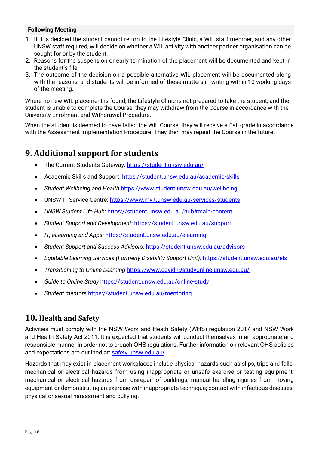#### **Following Meeting**

- 1. If it is decided the student cannot return to the Lifestyle Clinic, a WIL staff member, and any other UNSW staff required, will decide on whether a WIL activity with another partner organisation can be sought for or by the student.
- 2. Reasons for the suspension or early termination of the placement will be documented and kept in the student's file.
- 3. The outcome of the decision on a possible alternative WIL placement will be documented along with the reasons, and students will be informed of these matters in writing within 10 working days of the meeting.

Where no new WIL placement is found, the Lifestyle Clinic is not prepared to take the student, and the student is unable to complete the Course, they may withdraw from the Course in accordance with the University Enrolment and Withdrawal Procedure.

When the student is deemed to have failed the WIL Course, they will receive a Fail grade in accordance with the Assessment Implementation Procedure. They then may repeat the Course in the future.

# <span id="page-15-0"></span>**9. Additional support for students**

- The Current Students Gateway:<https://student.unsw.edu.au/>
- Academic Skills and Support:<https://student.unsw.edu.au/academic-skills>
- *Student Wellbeing and Health* <https://www.student.unsw.edu.au/wellbeing>
- UNSW IT Service Centre:<https://www.myit.unsw.edu.au/services/students>
- *UNSW Student Life Hub:* <https://student.unsw.edu.au/hub#main-content>
- *Student Support and Development:* <https://student.unsw.edu.au/support>
- *IT, eLearning and Apps:* <https://student.unsw.edu.au/elearning>
- *Student Support and Success Advisors:* <https://student.unsw.edu.au/advisors>
- *Equitable Learning Services (Formerly Disability Support Unit):* <https://student.unsw.edu.au/els>
- *Transitioning to Online Learning* <https://www.covid19studyonline.unsw.edu.au/>
- *Guide to Online Study* <https://student.unsw.edu.au/online-study>
- *Student mentors* <https://student.unsw.edu.au/mentoring>

### <span id="page-15-1"></span>**10. Health and Safety**

Activities must comply with the NSW Work and Heath Safety (WHS) regulation 2017 and NSW Work and Health Safety Act 2011. It is expected that students will conduct themselves in an appropriate and responsible manner in order not to breach OHS regulations. Further information on relevant OHS policies and expectations are outlined at: [safety.unsw.edu.au/](http://safety.unsw.edu.au/)

Hazards that may exist in placement workplaces include physical hazards such as slips, trips and falls; mechanical or electrical hazards from using inappropriate or unsafe exercise or testing equipment; mechanical or electrical hazards from disrepair of buildings; manual handling injuries from moving equipment or demonstrating an exercise with inappropriate technique; contact with infectious diseases; physical or sexual harassment and bullying.